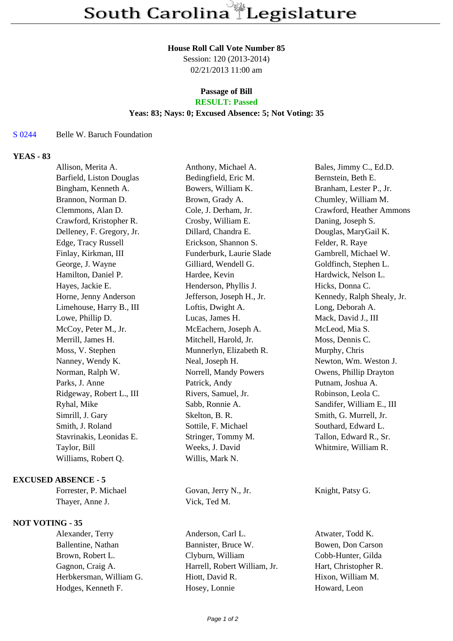#### **House Roll Call Vote Number 85**

Session: 120 (2013-2014) 02/21/2013 11:00 am

# **Passage of Bill**

## **RESULT: Passed**

## **Yeas: 83; Nays: 0; Excused Absence: 5; Not Voting: 35**

#### S 0244 Belle W. Baruch Foundation

## **YEAS - 83**

| Allison, Merita A.        | Anthony, Michael A.       | Bales, Jimmy C., Ed.D.     |
|---------------------------|---------------------------|----------------------------|
| Barfield, Liston Douglas  | Bedingfield, Eric M.      | Bernstein, Beth E.         |
| Bingham, Kenneth A.       | Bowers, William K.        | Branham, Lester P., Jr.    |
| Brannon, Norman D.        | Brown, Grady A.           | Chumley, William M.        |
| Clemmons, Alan D.         | Cole, J. Derham, Jr.      | Crawford, Heather Ammons   |
| Crawford, Kristopher R.   | Crosby, William E.        | Daning, Joseph S.          |
| Delleney, F. Gregory, Jr. | Dillard, Chandra E.       | Douglas, MaryGail K.       |
| Edge, Tracy Russell       | Erickson, Shannon S.      | Felder, R. Raye            |
| Finlay, Kirkman, III      | Funderburk, Laurie Slade  | Gambrell, Michael W.       |
| George, J. Wayne          | Gilliard, Wendell G.      | Goldfinch, Stephen L.      |
| Hamilton, Daniel P.       | Hardee, Kevin             | Hardwick, Nelson L.        |
| Hayes, Jackie E.          | Henderson, Phyllis J.     | Hicks, Donna C.            |
| Horne, Jenny Anderson     | Jefferson, Joseph H., Jr. | Kennedy, Ralph Shealy, Jr. |
| Limehouse, Harry B., III  | Loftis, Dwight A.         | Long, Deborah A.           |
| Lowe, Phillip D.          | Lucas, James H.           | Mack, David J., III        |
| McCoy, Peter M., Jr.      | McEachern, Joseph A.      | McLeod, Mia S.             |
| Merrill, James H.         | Mitchell, Harold, Jr.     | Moss, Dennis C.            |
| Moss, V. Stephen          | Munnerlyn, Elizabeth R.   | Murphy, Chris              |
| Nanney, Wendy K.          | Neal, Joseph H.           | Newton, Wm. Weston J.      |
| Norman, Ralph W.          | Norrell, Mandy Powers     | Owens, Phillip Drayton     |
| Parks, J. Anne            | Patrick, Andy             | Putnam, Joshua A.          |
| Ridgeway, Robert L., III  | Rivers, Samuel, Jr.       | Robinson, Leola C.         |
| Ryhal, Mike               | Sabb, Ronnie A.           | Sandifer, William E., III  |
| Simrill, J. Gary          | Skelton, B. R.            | Smith, G. Murrell, Jr.     |
| Smith, J. Roland          | Sottile, F. Michael       | Southard, Edward L.        |
| Stavrinakis, Leonidas E.  | Stringer, Tommy M.        | Tallon, Edward R., Sr.     |
| Taylor, Bill              | Weeks, J. David           | Whitmire, William R.       |
| Williams, Robert Q.       | Willis, Mark N.           |                            |
|                           |                           |                            |

### **EXCUSED ABSENCE - 5**

Thayer, Anne J. Vick, Ted M.

## **NOT VOTING - 35**

Forrester, P. Michael Govan, Jerry N., Jr. Knight, Patsy G.

Alexander, Terry Anderson, Carl L. Atwater, Todd K. Ballentine, Nathan Bannister, Bruce W. Bowen, Don Carson Brown, Robert L. Clyburn, William Cobb-Hunter, Gilda Gagnon, Craig A. **Harrell, Robert William, Jr.** Hart, Christopher R. Herbkersman, William G. Hiott, David R. Hixon, William M. Hodges, Kenneth F. Hosey, Lonnie Howard, Leon